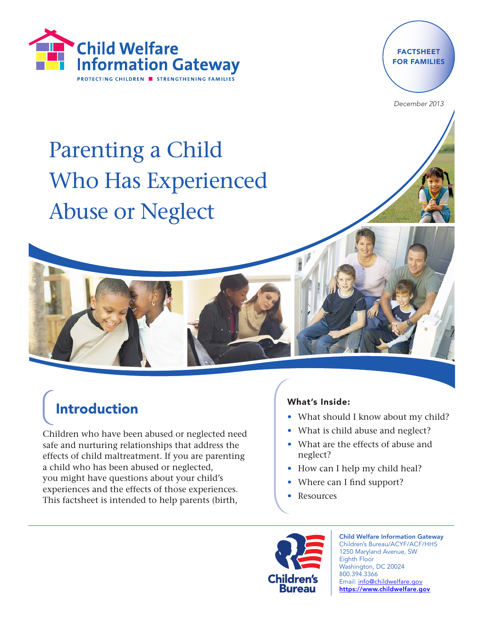



December 2013

Parenting a Child Who Has Experienced Abuse or Neglect



Children who have been abused or neglected need safe and nurturing relationships that address the effects of child maltreatment. If you are parenting a child who has been abused or neglected, you might have questions about your child's experiences and the effects of those experiences. This factsheet is intended to help parents (birth,

#### What's Inside:

- What should I know about my child?
- What is child abuse and neglect?
- What are the effects of abuse and neglect?
- How can I help my child heal?
- Where can I find support?
- Resources



Child Welfare Information Gateway Children's Bureau/ACYF/ACF/HHS 1250 Maryland Avenue, SW Eighth Floor Washington, DC 20024 800.394.3366 Email: info@childwelfare.gov https://www.childwelfare.gov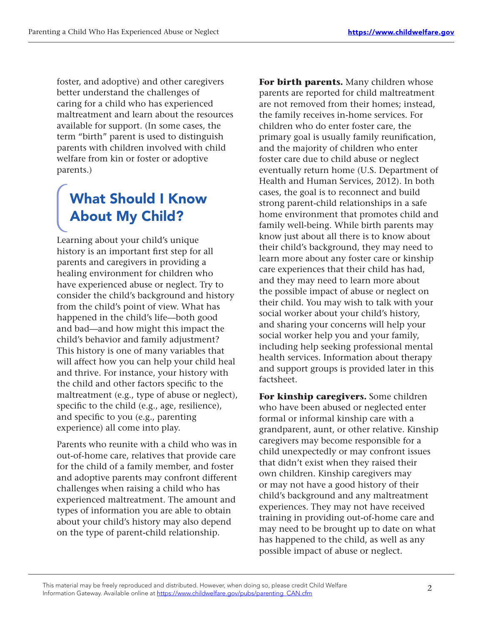foster, and adoptive) and other caregivers better understand the challenges of caring for a child who has experienced maltreatment and learn about the resources available for support. (In some cases, the term "birth" parent is used to distinguish parents with children involved with child welfare from kin or foster or adoptive parents.)

## What Should I Know About My Child?

Learning about your child's unique history is an important first step for all parents and caregivers in providing a healing environment for children who have experienced abuse or neglect. Try to consider the child's background and history from the child's point of view. What has happened in the child's life—both good and bad—and how might this impact the child's behavior and family adjustment? This history is one of many variables that will affect how you can help your child heal and thrive. For instance, your history with the child and other factors specific to the maltreatment (e.g., type of abuse or neglect), specific to the child (e.g., age, resilience), and specific to you (e.g., parenting experience) all come into play.

Parents who reunite with a child who was in out-of-home care, relatives that provide care for the child of a family member, and foster and adoptive parents may confront different challenges when raising a child who has experienced maltreatment. The amount and types of information you are able to obtain about your child's history may also depend on the type of parent-child relationship.

**For birth parents.** Many children whose parents are reported for child maltreatment are not removed from their homes; instead, the family receives in-home services. For children who do enter foster care, the primary goal is usually family reunification, and the majority of children who enter foster care due to child abuse or neglect eventually return home (U.S. Department of Health and Human Services, 2012). In both cases, the goal is to reconnect and build strong parent-child relationships in a safe home environment that promotes child and family well-being. While birth parents may know just about all there is to know about their child's background, they may need to learn more about any foster care or kinship care experiences that their child has had, and they may need to learn more about the possible impact of abuse or neglect on their child. You may wish to talk with your social worker about your child's history, and sharing your concerns will help your social worker help you and your family, including help seeking professional mental health services. Information about therapy and support groups is provided later in this factsheet.

**For kinship caregivers.** Some children who have been abused or neglected enter formal or informal kinship care with a grandparent, aunt, or other relative. Kinship caregivers may become responsible for a child unexpectedly or may confront issues that didn't exist when they raised their own children. Kinship caregivers may or may not have a good history of their child's background and any maltreatment experiences. They may not have received training in providing out-of-home care and may need to be brought up to date on what has happened to the child, as well as any possible impact of abuse or neglect.

This material may be freely reproduced and distributed. However, when doing so, please credit Child Welfare Information Gateway. Available online at https://www.childwelfare.gov/pubs/parenting\_CAN.cfm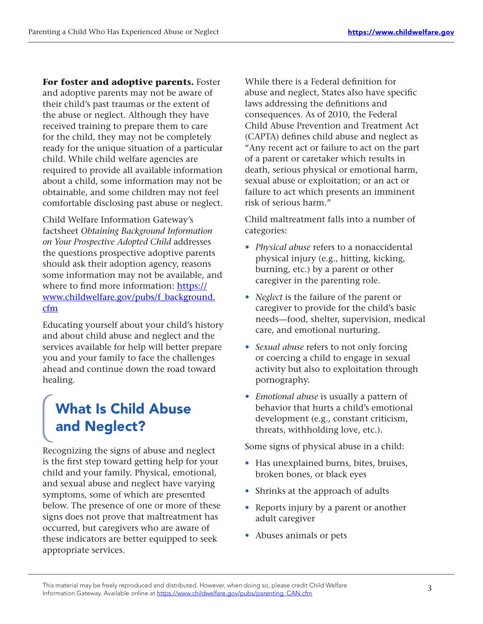**For foster and adoptive parents.** Foster and adoptive parents may not be aware of their child's past traumas or the extent of the abuse or neglect. Although they have received training to prepare them to care for the child, they may not be completely ready for the unique situation of a particular child. While child welfare agencies are required to provide all available information about a child, some information may not be obtainable, and some children may not feel comfortable disclosing past abuse or neglect.

Child Welfare Information Gateway's factsheet *Obtaining Background Information on Your Prospective Adopted Child* addresses the questions prospective adoptive parents should ask their adoption agency, reasons some information may not be available, and where to find more information: [https://](https://www.childwelfare.gov/pubs/f_background.cfm) [www.childwelfare.gov/pubs/f\\_background.](https://www.childwelfare.gov/pubs/f_background.cfm) [cfm](https://www.childwelfare.gov/pubs/f_background.cfm)

Educating yourself about your child's history and about child abuse and neglect and the services available for help will better prepare you and your family to face the challenges ahead and continue down the road toward healing.

## What Is Child Abuse and Neglect?

Recognizing the signs of abuse and neglect is the first step toward getting help for your child and your family. Physical, emotional, and sexual abuse and neglect have varying symptoms, some of which are presented below. The presence of one or more of these signs does not prove that maltreatment has occurred, but caregivers who are aware of these indicators are better equipped to seek appropriate services.

While there is a Federal definition for abuse and neglect, States also have specific laws addressing the definitions and consequences. As of 2010, the Federal Child Abuse Prevention and Treatment Act (CAPTA) defines child abuse and neglect as "Any recent act or failure to act on the part of a parent or caretaker which results in death, serious physical or emotional harm, sexual abuse or exploitation; or an act or failure to act which presents an imminent risk of serious harm."

Child maltreatment falls into a number of categories:

- *• Physical abuse* refers to a nonaccidental physical injury (e.g., hitting, kicking, burning, etc.) by a parent or other caregiver in the parenting role.
- *• Neglect* is the failure of the parent or caregiver to provide for the child's basic needs—food, shelter, supervision, medical care, and emotional nurturing.
- *• Sexual abuse* refers to not only forcing or coercing a child to engage in sexual activity but also to exploitation through pornography.
- *• Emotional abuse* is usually a pattern of behavior that hurts a child's emotional development (e.g., constant criticism, threats, withholding love, etc.).

Some signs of physical abuse in a child:

- Has unexplained burns, bites, bruises, broken bones, or black eyes
- Shrinks at the approach of adults
- Reports injury by a parent or another adult caregiver
- Abuses animals or pets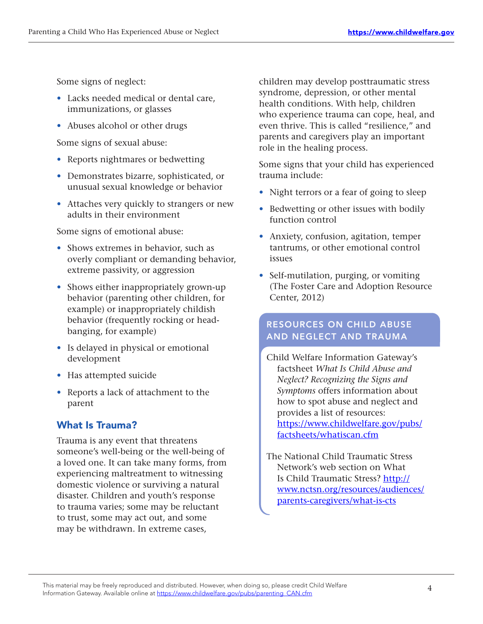Some signs of neglect:

- Lacks needed medical or dental care, immunizations, or glasses
- Abuses alcohol or other drugs

Some signs of sexual abuse:

- Reports nightmares or bedwetting
- • Demonstrates bizarre, sophisticated, or unusual sexual knowledge or behavior
- Attaches very quickly to strangers or new adults in their environment

Some signs of emotional abuse:

- Shows extremes in behavior, such as overly compliant or demanding behavior, extreme passivity, or aggression
- Shows either inappropriately grown-up behavior (parenting other children, for example) or inappropriately childish behavior (frequently rocking or headbanging, for example)
- Is delayed in physical or emotional development
- Has attempted suicide
- Reports a lack of attachment to the parent

### What Is Trauma?

Trauma is any event that threatens someone's well-being or the well-being of a loved one. It can take many forms, from experiencing maltreatment to witnessing domestic violence or surviving a natural disaster. Children and youth's response to trauma varies; some may be reluctant to trust, some may act out, and some may be withdrawn. In extreme cases,

children may develop posttraumatic stress syndrome, depression, or other mental health conditions. With help, children who experience trauma can cope, heal, and even thrive. This is called "resilience," and parents and caregivers play an important role in the healing process.

Some signs that your child has experienced trauma include:

- Night terrors or a fear of going to sleep
- Bedwetting or other issues with bodily function control
- Anxiety, confusion, agitation, temper tantrums, or other emotional control issues
- Self-mutilation, purging, or vomiting (The Foster Care and Adoption Resource Center, 2012)

#### RESOURCES ON CHILD ABUSE AND NEGLECT AND TRAUMA

Child Welfare Information Gateway's factsheet *What Is Child Abuse and Neglect? Recognizing the Signs and Symptoms* offers information about how to spot abuse and neglect and provides a list of resources: [https://www.childwelfare.gov/pubs/](https://www.childwelfare.gov/pubs/factsheets/whatiscan.cfm) [factsheets/whatiscan.cfm](https://www.childwelfare.gov/pubs/factsheets/whatiscan.cfm)

The National Child Traumatic Stress Network's web section on What Is Child Traumatic Stress? [http://](http://www.nctsn.org/resources/audiences/parents-caregivers/what-is-cts) [www.nctsn.org/resources/audiences/](http://www.nctsn.org/resources/audiences/parents-caregivers/what-is-cts) [parents-caregivers/what-is-cts](http://www.nctsn.org/resources/audiences/parents-caregivers/what-is-cts)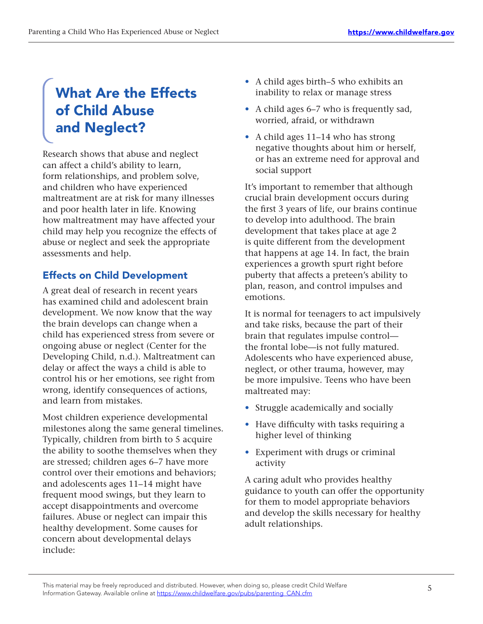## What Are the Effects of Child Abuse and Neglect?

Research shows that abuse and neglect can affect a child's ability to learn, form relationships, and problem solve, and children who have experienced maltreatment are at risk for many illnesses and poor health later in life. Knowing how maltreatment may have affected your child may help you recognize the effects of abuse or neglect and seek the appropriate assessments and help.

## Effects on Child Development

A great deal of research in recent years has examined child and adolescent brain development. We now know that the way the brain develops can change when a child has experienced stress from severe or ongoing abuse or neglect (Center for the Developing Child, n.d.). Maltreatment can delay or affect the ways a child is able to control his or her emotions, see right from wrong, identify consequences of actions, and learn from mistakes.

Most children experience developmental milestones along the same general timelines. Typically, children from birth to 5 acquire the ability to soothe themselves when they are stressed; children ages 6–7 have more control over their emotions and behaviors; and adolescents ages 11–14 might have frequent mood swings, but they learn to accept disappointments and overcome failures. Abuse or neglect can impair this healthy development. Some causes for concern about developmental delays include:

- A child ages birth–5 who exhibits an inability to relax or manage stress
- A child ages 6–7 who is frequently sad, worried, afraid, or withdrawn
- A child ages 11–14 who has strong negative thoughts about him or herself, or has an extreme need for approval and social support

It's important to remember that although crucial brain development occurs during the first 3 years of life, our brains continue to develop into adulthood. The brain development that takes place at age 2 is quite different from the development that happens at age 14. In fact, the brain experiences a growth spurt right before puberty that affects a preteen's ability to plan, reason, and control impulses and emotions.

It is normal for teenagers to act impulsively and take risks, because the part of their brain that regulates impulse control the frontal lobe—is not fully matured. Adolescents who have experienced abuse, neglect, or other trauma, however, may be more impulsive. Teens who have been maltreated may:

- Struggle academically and socially
- Have difficulty with tasks requiring a higher level of thinking
- Experiment with drugs or criminal activity

A caring adult who provides healthy guidance to youth can offer the opportunity for them to model appropriate behaviors and develop the skills necessary for healthy adult relationships.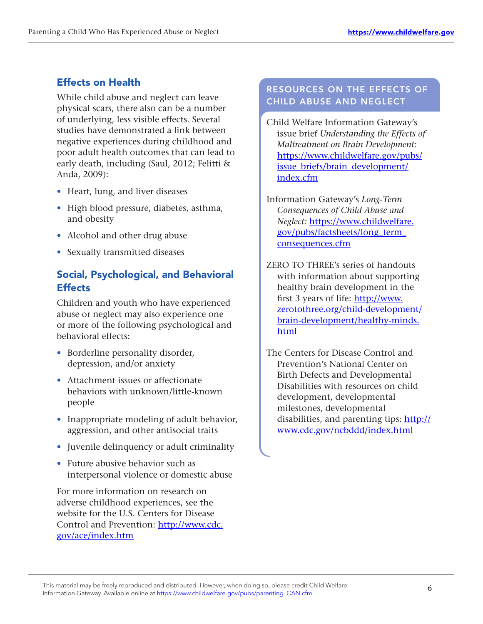## Effects on Health

While child abuse and neglect can leave physical scars, there also can be a number of underlying, less visible effects. Several studies have demonstrated a link between negative experiences during childhood and poor adult health outcomes that can lead to early death, including (Saul, 2012; Felitti & Anda, 2009):

- Heart, lung, and liver diseases
- High blood pressure, diabetes, asthma, and obesity
- Alcohol and other drug abuse
- Sexually transmitted diseases

## Social, Psychological, and Behavioral **Effects**

Children and youth who have experienced abuse or neglect may also experience one or more of the following psychological and behavioral effects:

- Borderline personality disorder, depression, and/or anxiety
- Attachment issues or affectionate behaviors with unknown/little-known people
- Inappropriate modeling of adult behavior, aggression, and other antisocial traits
- Juvenile delinquency or adult criminality
- Future abusive behavior such as interpersonal violence or domestic abuse

For more information on research on adverse childhood experiences, see the website for the U.S. Centers for Disease Control and Prevention: http://www.cdc. [gov/ace/index.htm](http://www.cdc.gov/ace/index.htm)

### RESOURCES ON THE EFFECTS OF CHILD ABUSE AND NEGLECT

Child Welfare Information Gateway's issue brief *Understanding the Effects of Maltreatment on Brain Development*: [https://www.childwelfare.gov/pubs/](https://www.childwelfare.gov/pubs/issue_briefs/brain_development/index.cfm) issue briefs/brain development/ [index.cfm](https://www.childwelfare.gov/pubs/issue_briefs/brain_development/index.cfm)

- Information Gateway's *Long-Term Consequences of Child Abuse and Neglect:* [https://www.childwelfare.](https://www.childwelfare.gov/pubs/factsheets/long_term_consequences.cfm) [gov/pubs/factsheets/long\\_term\\_](https://www.childwelfare.gov/pubs/factsheets/long_term_consequences.cfm) [consequences.cfm](https://www.childwelfare.gov/pubs/factsheets/long_term_consequences.cfm)
- ZERO TO THREE's series of handouts with information about supporting healthy brain development in the first 3 years of life: [http://www.](http://www.zerotothree.org/child-development/brain-development/healthy-minds.html) [zerotothree.org/child-development/](http://www.zerotothree.org/child-development/brain-development/healthy-minds.html) [brain-development/healthy-minds.](http://www.zerotothree.org/child-development/brain-development/healthy-minds.html) [html](http://www.zerotothree.org/child-development/brain-development/healthy-minds.html)
- The Centers for Disease Control and Prevention's National Center on Birth Defects and Developmental Disabilities with resources on child development, developmental milestones, developmental disabilities, and parenting tips: [http://](http://www.cdc.gov/ncbddd/index.html) [www.cdc.gov/ncbddd/index.html](http://www.cdc.gov/ncbddd/index.html)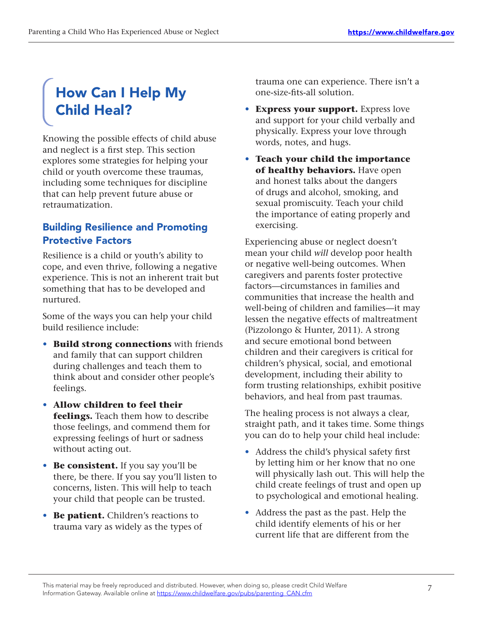## How Can I Help My Child Heal?

Knowing the possible effects of child abuse and neglect is a first step. This section explores some strategies for helping your child or youth overcome these traumas, including some techniques for discipline that can help prevent future abuse or retraumatization.

### Building Resilience and Promoting Protective Factors

Resilience is a child or youth's ability to cope, and even thrive, following a negative experience. This is not an inherent trait but something that has to be developed and nurtured.

Some of the ways you can help your child build resilience include:

- **• Build strong connections** with friends and family that can support children during challenges and teach them to think about and consider other people's feelings.
- **• Allow children to feel their feelings.** Teach them how to describe those feelings, and commend them for expressing feelings of hurt or sadness without acting out.
- **• Be consistent.** If you say you'll be there, be there. If you say you'll listen to concerns, listen. This will help to teach your child that people can be trusted.
- **• Be patient.** Children's reactions to trauma vary as widely as the types of

trauma one can experience. There isn't a one-size-fits-all solution. 

- **Express your support.** Express love and support for your child verbally and physically. Express your love through words, notes, and hugs.
- **Teach your child the importance of healthy behaviors.** Have open and honest talks about the dangers of drugs and alcohol, smoking, and sexual promiscuity. Teach your child the importance of eating properly and exercising.

Experiencing abuse or neglect doesn't mean your child *will* develop poor health or negative well-being outcomes. When caregivers and parents foster protective factors—circumstances in families and communities that increase the health and well-being of children and families—it may lessen the negative effects of maltreatment (Pizzolongo & Hunter, 2011). A strong and secure emotional bond between children and their caregivers is critical for children's physical, social, and emotional development, including their ability to form trusting relationships, exhibit positive behaviors, and heal from past traumas.

The healing process is not always a clear, straight path, and it takes time. Some things you can do to help your child heal include:

- Address the child's physical safety first by letting him or her know that no one will physically lash out. This will help the child create feelings of trust and open up to psychological and emotional healing.
- Address the past as the past. Help the child identify elements of his or her current life that are different from the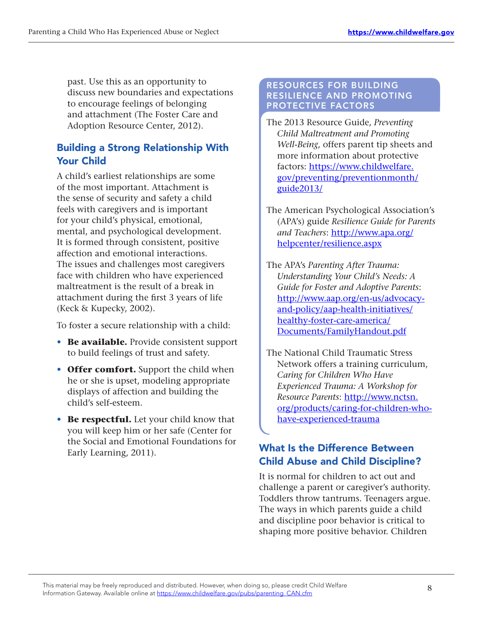past. Use this as an opportunity to discuss new boundaries and expectations to encourage feelings of belonging and attachment (The Foster Care and Adoption Resource Center, 2012).

### Building a Strong Relationship With Your Child

A child's earliest relationships are some of the most important. Attachment is the sense of security and safety a child feels with caregivers and is important for your child's physical, emotional, mental, and psychological development. It is formed through consistent, positive affection and emotional interactions. The issues and challenges most caregivers face with children who have experienced maltreatment is the result of a break in attachment during the first 3 years of life (Keck & Kupecky, 2002).

To foster a secure relationship with a child:

- **• Be available.** Provide consistent support to build feelings of trust and safety.
- **• Offer comfort.** Support the child when he or she is upset, modeling appropriate displays of affection and building the child's self-esteem.
- **• Be respectful.** Let your child know that you will keep him or her safe (Center for the Social and Emotional Foundations for Early Learning, 2011).

#### RESOURCES FOR BUILDING RESILIENCE AND PROMOTING PROTECTIVE FACTORS

- The 2013 Resource Guide, *Preventing Child Maltreatment and Promoting Well-Being*, offers parent tip sheets and more information about protective factors: [https://www.childwelfare.](https://www.childwelfare.gov/preventing/preventionmonth/guide2013/) [gov/preventing/preventionmonth/](https://www.childwelfare.gov/preventing/preventionmonth/guide2013/) [guide2013/](https://www.childwelfare.gov/preventing/preventionmonth/guide2013/)
- The American Psychological Association's (APA's) guide *Resilience Guide for Parents and Teachers*: [http://www.apa.org/](http://www.apa.org/helpcenter/resilience.aspx) [helpcenter/resilience.aspx](http://www.apa.org/helpcenter/resilience.aspx)

The APA's *Parenting After Trauma: Understanding Your Child's Needs: A Guide for Foster and Adoptive Parents*: [http://www.aap.org/en-us/advocacy](http://www.aap.org/en-us/advocacy-and-policy/aap-health-initiatives/healthy-foster-care-america/Documents/FamilyHandout.pdf)[and-policy/aap-health-initiatives/](http://www.aap.org/en-us/advocacy-and-policy/aap-health-initiatives/healthy-foster-care-america/Documents/FamilyHandout.pdf) [healthy-foster-care-america/](http://www.aap.org/en-us/advocacy-and-policy/aap-health-initiatives/healthy-foster-care-america/Documents/FamilyHandout.pdf) [Documents/FamilyHandout.pdf](http://www.aap.org/en-us/advocacy-and-policy/aap-health-initiatives/healthy-foster-care-america/Documents/FamilyHandout.pdf)

The National Child Traumatic Stress Network offers a training curriculum, *Caring for Children Who Have Experienced Trauma: A Workshop for Resource Parents*: [http://www.nctsn.](http://www.nctsn.org/products/caring-for-children-who-have-experienced-trauma) [org/products/caring-for-children-who](http://www.nctsn.org/products/caring-for-children-who-have-experienced-trauma)[have-experienced-trauma](http://www.nctsn.org/products/caring-for-children-who-have-experienced-trauma)

### What Is the Difference Between Child Abuse and Child Discipline?

It is normal for children to act out and challenge a parent or caregiver's authority. Toddlers throw tantrums. Teenagers argue. The ways in which parents guide a child and discipline poor behavior is critical to shaping more positive behavior. Children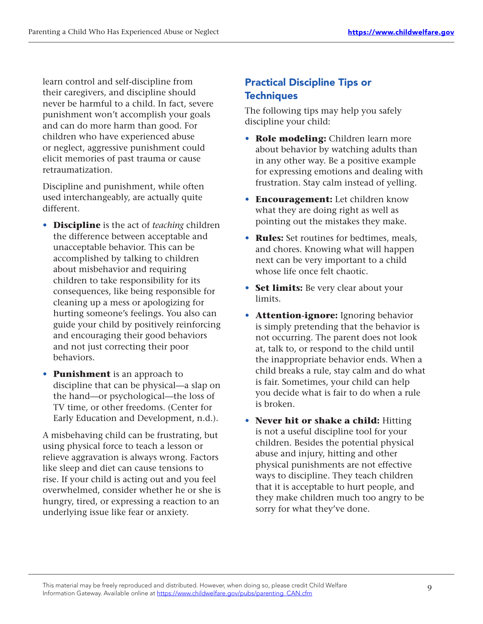learn control and self-discipline from their caregivers, and discipline should never be harmful to a child. In fact, severe punishment won't accomplish your goals and can do more harm than good. For children who have experienced abuse or neglect, aggressive punishment could elicit memories of past trauma or cause retraumatization.

Discipline and punishment, while often used interchangeably, are actually quite different.

- **• Discipline** is the act of *teaching* children the difference between acceptable and unacceptable behavior. This can be accomplished by talking to children about misbehavior and requiring children to take responsibility for its consequences, like being responsible for cleaning up a mess or apologizing for hurting someone's feelings. You also can guide your child by positively reinforcing and encouraging their good behaviors and not just correcting their poor behaviors.
- **• Punishment** is an approach to discipline that can be physical—a slap on the hand—or psychological—the loss of TV time, or other freedoms. (Center for Early Education and Development, n.d.).

A misbehaving child can be frustrating, but using physical force to teach a lesson or relieve aggravation is always wrong. Factors like sleep and diet can cause tensions to rise. If your child is acting out and you feel overwhelmed, consider whether he or she is hungry, tired, or expressing a reaction to an underlying issue like fear or anxiety.

## Practical Discipline Tips or **Techniques**

The following tips may help you safely discipline your child:

- **Role modeling:** Children learn more about behavior by watching adults than in any other way. Be a positive example for expressing emotions and dealing with frustration. Stay calm instead of yelling.
- **Encouragement:** Let children know what they are doing right as well as pointing out the mistakes they make.
- Rules: Set routines for bedtimes, meals, and chores. Knowing what will happen next can be very important to a child whose life once felt chaotic.
- Set limits: Be very clear about your limits.
- **Attention-ignore:** Ignoring behavior is simply pretending that the behavior is not occurring. The parent does not look at, talk to, or respond to the child until the inappropriate behavior ends. When a child breaks a rule, stay calm and do what is fair. Sometimes, your child can help you decide what is fair to do when a rule is broken.
- **Never hit or shake a child:** Hitting is not a useful discipline tool for your children. Besides the potential physical abuse and injury, hitting and other physical punishments are not effective ways to discipline. They teach children that it is acceptable to hurt people, and they make children much too angry to be sorry for what they've done.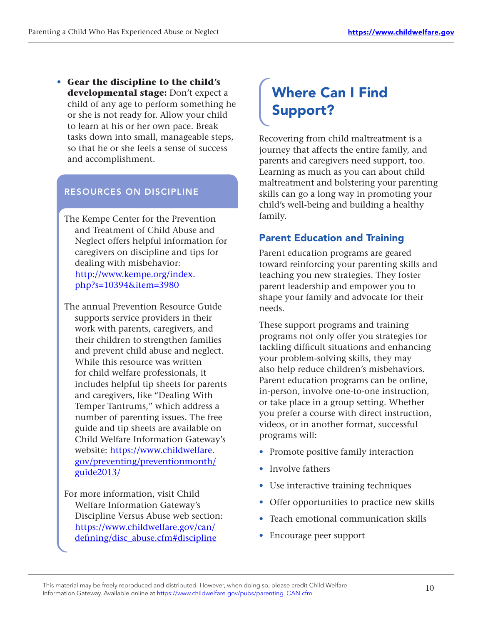**• Gear the discipline to the child's developmental stage:** Don't expect a child of any age to perform something he or she is not ready for. Allow your child to learn at his or her own pace. Break tasks down into small, manageable steps, so that he or she feels a sense of success and accomplishment.

#### RESOURCES ON DISCIPLINE

- The Kempe Center for the Prevention and Treatment of Child Abuse and Neglect offers helpful information for caregivers on discipline and tips for dealing with misbehavior: [http://www.kempe.org/index.](http://www.kempe.org/index.php?s=10394&item=3980 ) [php?s=10394&item=3980](http://www.kempe.org/index.php?s=10394&item=3980 )
- The annual Prevention Resource Guide supports service providers in their work with parents, caregivers, and their children to strengthen families and prevent child abuse and neglect. While this resource was written for child welfare professionals, it includes helpful tip sheets for parents and caregivers, like "Dealing With Temper Tantrums," which address a number of parenting issues. The free guide and tip sheets are available on Child Welfare Information Gateway's website: https://www.childwelfare. [gov/preventing/preventionmonth/](https://www.childwelfare.gov/preventing/preventionmonth/guide2013/) [guide2013/](https://www.childwelfare.gov/preventing/preventionmonth/guide2013/)

For more information, visit Child Welfare Information Gateway's Discipline Versus Abuse web section: [https://www.childwelfare.gov/can/](https://www.childwelfare.gov/can/defining/disc_abuse.cfm#discipline) [defining/disc\\_abuse.cfm#discipline](https://www.childwelfare.gov/can/defining/disc_abuse.cfm#discipline)

## Where Can I Find Support?

Recovering from child maltreatment is a journey that affects the entire family, and parents and caregivers need support, too. Learning as much as you can about child maltreatment and bolstering your parenting skills can go a long way in promoting your child's well-being and building a healthy family.

#### Parent Education and Training

Parent education programs are geared toward reinforcing your parenting skills and teaching you new strategies. They foster parent leadership and empower you to shape your family and advocate for their needs.

These support programs and training programs not only offer you strategies for tackling difficult situations and enhancing your problem-solving skills, they may also help reduce children's misbehaviors. Parent education programs can be online, in-person, involve one-to-one instruction, or take place in a group setting. Whether you prefer a course with direct instruction, videos, or in another format, successful programs will:

- Promote positive family interaction
- Involve fathers
- Use interactive training techniques
- Offer opportunities to practice new skills
- Teach emotional communication skills
- Encourage peer support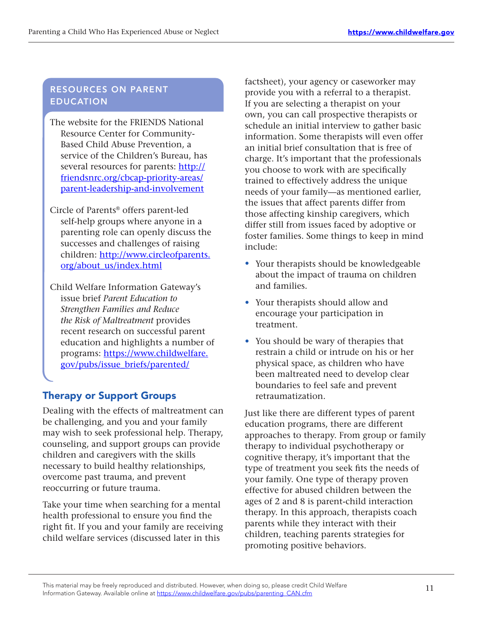#### RESOURCES ON PARENT EDUCATION

- The website for the FRIENDS National Resource Center for Community-Based Child Abuse Prevention, a service of the Children's Bureau, has several resources for parents: http:// [friendsnrc.org/cbcap-priority-areas/](http://friendsnrc.org/cbcap-priority-areas/parent-leadership-and-involvement) [parent-leadership-and-involvement](http://friendsnrc.org/cbcap-priority-areas/parent-leadership-and-involvement)
- Circle of Parents® offers parent-led self-help groups where anyone in a parenting role can openly discuss the successes and challenges of raising children: http://www.circleofparents. [org/about\\_us/index.html](http://www.circleofparents.org/about_us/index.html)
- Child Welfare Information Gateway's issue brief *Parent Education to Strengthen Families and Reduce*  the Risk of Maltreatment provides recent research on successful parent education and highlights a number of programs: https://www.childwelfare. [gov/pubs/issue\\_briefs/parented/](https://www.childwelfare.gov/pubs/issue_briefs/parented/)

## Therapy or Support Groups

Dealing with the effects of maltreatment can be challenging, and you and your family may wish to seek professional help. Therapy, counseling, and support groups can provide children and caregivers with the skills necessary to build healthy relationships, overcome past trauma, and prevent reoccurring or future trauma.

Take your time when searching for a mental health professional to ensure you find the right fit. If you and your family are receiving child welfare services (discussed later in this

factsheet), your agency or caseworker may provide you with a referral to a therapist. If you are selecting a therapist on your own, you can call prospective therapists or schedule an initial interview to gather basic information. Some therapists will even offer an initial brief consultation that is free of charge. It's important that the professionals you choose to work with are specifically trained to effectively address the unique needs of your family—as mentioned earlier, the issues that affect parents differ from those affecting kinship caregivers, which differ still from issues faced by adoptive or foster families. Some things to keep in mind include:

- Your therapists should be knowledgeable about the impact of trauma on children and families.
- Your therapists should allow and encourage your participation in treatment.
- You should be wary of therapies that restrain a child or intrude on his or her physical space, as children who have been maltreated need to develop clear boundaries to feel safe and prevent retraumatization.

Just like there are different types of parent education programs, there are different approaches to therapy. From group or family therapy to individual psychotherapy or cognitive therapy, it's important that the type of treatment you seek fits the needs of your family. One type of therapy proven effective for abused children between the ages of 2 and 8 is parent-child interaction therapy. In this approach, therapists coach parents while they interact with their children, teaching parents strategies for promoting positive behaviors.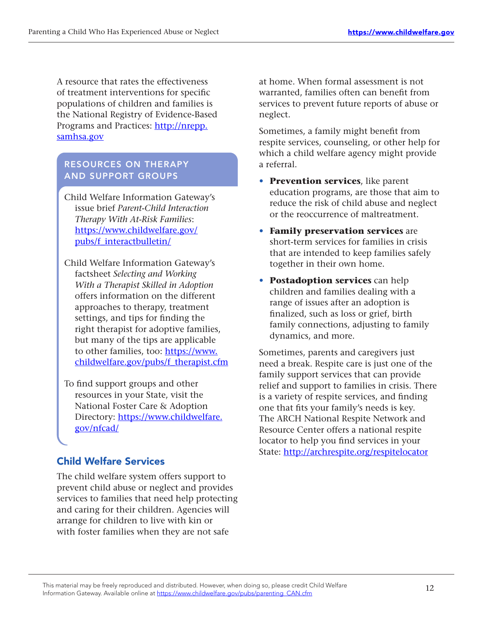A resource that rates the effectiveness of treatment interventions for specific populations of children and families is the National Registry of Evidence-Based Programs and Practices: http://nrepp. [samhsa.gov](http://nrepp.samhsa.gov)

#### RESOURCES ON THERAPY AND SUPPORT GROUPS

Child Welfare Information Gateway's issue brief Parent-Child Interaction *Therapy With At-Risk Families*: [https://www.childwelfare.gov/](https://www.childwelfare.gov/pubs/f_interactbulletin/) [pubs/f\\_interactbulletin/](https://www.childwelfare.gov/pubs/f_interactbulletin/)  

- Child Welfare Information Gateway's factsheet *Selecting and Working With a Therapist Skilled in Adoption* offers information on the different approaches to therapy, treatment settings, and tips for finding the right therapist for adoptive families, but many of the tips are applicable to other families, too: https://www. [childwelfare.gov/pubs/f\\_therapist.cfm](https://www.childwelfare.gov/pubs/f_therapist.cfm)
- To find support groups and other resources in your State, visit the National Foster Care & Adoption Directory: https://www.childwelfare. [gov/nfcad/](https://www.childwelfare.gov/nfcad/)

### Child Welfare Services

The child welfare system offers support to prevent child abuse or neglect and provides services to families that need help protecting and caring for their children. Agencies will arrange for children to live with kin or with foster families when they are not safe

at home. When formal assessment is not warranted, families often can benefit from services to prevent future reports of abuse or neglect.

Sometimes, a family might benefit from respite services, counseling, or other help for which a child welfare agency might provide a referral.

- **• Prevention services**, like parent education programs, are those that aim to reduce the risk of child abuse and neglect or the reoccurrence of maltreatment.
- **• Family preservation services** are short-term services for families in crisis that are intended to keep families safely together in their own home.
- **• Postadoption services** can help children and families dealing with a range of issues after an adoption is finalized, such as loss or grief, birth family connections, adjusting to family dynamics, and more.

Sometimes, parents and caregivers just need a break. Respite care is just one of the family support services that can provide relief and support to families in crisis. There is a variety of respite services, and finding one that fits your family's needs is key. The ARCH National Respite Network and Resource Center offers a national respite locator to help you find services in your State: <http://archrespite.org/respitelocator>

<sup>12</sup> This material may be freely reproduced and distributed. However, when doing so, please credit Child Welfare Information Gateway. Available online at https://www.childwelfare.gov/pubs/parenting\_CAN.cfm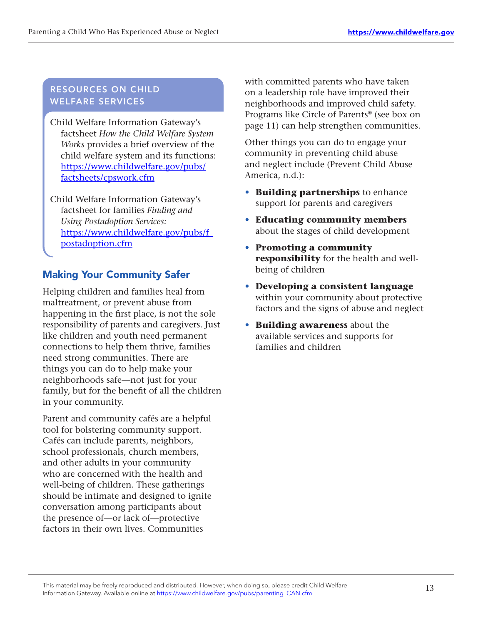#### RESOURCES ON CHILD WELFARE SERVICES

Child Welfare Information Gateway's factsheet *How the Child Welfare System* Works provides a brief overview of the child welfare system and its functions: [https://www.childwelfare.gov/pubs/](https://www.childwelfare.gov/pubs/factsheets/cpswork.cfm) [factsheets/cpswork.cfm](https://www.childwelfare.gov/pubs/factsheets/cpswork.cfm)

Child Welfare Information Gateway's factsheet for families Finding and Using Postadoption Services: [https://www.childwelfare.gov/pubs/f\\_](https://www.childwelfare.gov/pubs/f_postadoption.cfm) [postadoption.cfm](https://www.childwelfare.gov/pubs/f_postadoption.cfm)

#### Making Your Community Safer

Helping children and families heal from maltreatment, or prevent abuse from happening in the first place, is not the sole responsibility of parents and caregivers. Just like children and youth need permanent connections to help them thrive, families need strong communities. There are things you can do to help make your neighborhoods safe-not just for your family, but for the benefit of all the children in your community.

Parent and community cafés are a helpful tool for bolstering community support. Cafés can include parents, neighbors, school professionals, church members, and other adults in your community who are concerned with the health and well-being of children. These gatherings should be intimate and designed to ignite conversation among participants about the presence of—or lack of—protective factors in their own lives. Communities

with committed parents who have taken on a leadership role have improved their neighborhoods and improved child safety. Programs like Circle of Parents® (see box on page 11) can help strengthen communities.

Other things you can do to engage your community in preventing child abuse and neglect include (Prevent Child Abuse America, n.d.):

- **• Building partnerships** to enhance support for parents and caregivers
- **• Educating community members** about the stages of child development
- **• Promoting a community responsibility** for the health and wellbeing of children
- **• Developing a consistent language** within your community about protective factors and the signs of abuse and neglect
- **• Building awareness** about the available services and supports for families and children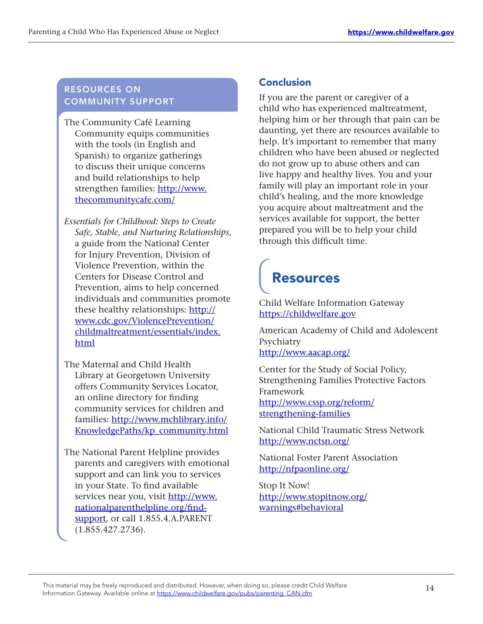#### RESOURCES ON COMMUNITY SUPPORT

The Community Café Learning Community equips communities with the tools (in English and Spanish) to organize gatherings to discuss their unique concerns and build relationships to help strengthen families: [http://www.](http://www.thecommunitycafe.com/) [thecommunitycafe.com/](http://www.thecommunitycafe.com/)

- **Essentials for Childhood: Steps to Create** *Safe, Stable, and Nurturing Relationships*, a guide from the National Center for Injury Prevention, Division of Violence Prevention, within the Centers for Disease Control and Prevention, aims to help concerned individuals and communities promote these healthy relationships: [http://](http://www.cdc.gov/ViolencePrevention/childmaltreatment/essentials/index.html) [www.cdc.gov/ViolencePrevention/](http://www.cdc.gov/ViolencePrevention/childmaltreatment/essentials/index.html) [childmaltreatment/essentials/index.](http://www.cdc.gov/ViolencePrevention/childmaltreatment/essentials/index.html) [html](http://www.cdc.gov/ViolencePrevention/childmaltreatment/essentials/index.html)
- The Maternal and Child Health Library at Georgetown University offers Community Services Locator, an online directory for finding community services for children and families: [http://www.mchlibrary.info/](http://www.mchlibrary.info/KnowledgePaths/kp_community.html) [KnowledgePaths/kp\\_community.html](http://www.mchlibrary.info/KnowledgePaths/kp_community.html)

The National Parent Helpline provides parents and caregivers with emotional support and can link you to services in your State. To find available services near you, visit http://www. [nationalparenthelpline.org/find](http://www.nationalparenthelpline.org/find-support)[support](http://www.nationalparenthelpline.org/find-support), or call 1.855.4.A.PARENT (1.855.427.2736).

#### **Conclusion**

If you are the parent or caregiver of a child who has experienced maltreatment, helping him or her through that pain can be daunting, yet there are resources available to help. It's important to remember that many children who have been abused or neglected do not grow up to abuse others and can live happy and healthy lives. You and your family will play an important role in your child's healing, and the more knowledge you acquire about maltreatment and the services available for support, the better prepared you will be to help your child through this difficult time.

## Resources

Child Welfare Information Gateway <https://childwelfare.gov>

American Academy of Child and Adolescent Psychiatry <http://www.aacap.org/>

Center for the Study of Social Policy, Strengthening Families Protective Factors Framework [http://www.cssp.org/reform/](http://www.cssp.org/reform/strengthening-families) [strengthening-families](http://www.cssp.org/reform/strengthening-families)

National Child Traumatic Stress Network <http://www.nctsn.org/>

National Foster Parent Association <http://nfpaonline.org/>

Stop It Now! [http://www.stopitnow.org/](http://www.stopitnow.org/warnings#behavioral) [warnings#behavioral](http://www.stopitnow.org/warnings#behavioral)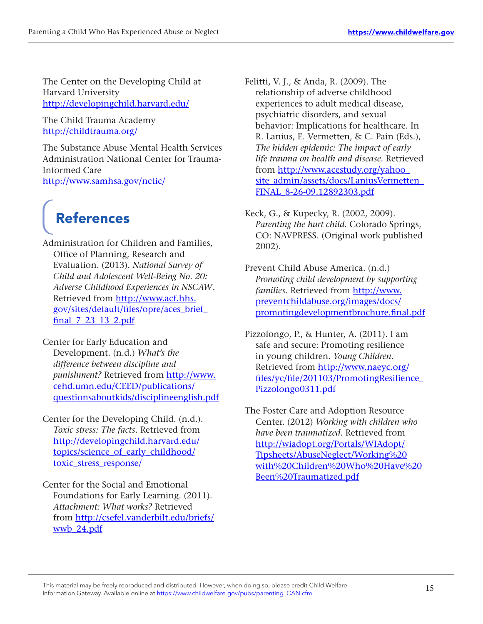The Center on the Developing Child at Harvard University <http://developingchild.harvard.edu/>

The Child Trauma Academy <http://childtrauma.org/>

The Substance Abuse Mental Health Services Administration National Center for Trauma-Informed Care <http://www.samhsa.gov/nctic/>

# References

Administration for Children and Families, Office of Planning, Research and Evaluation. (2013). *National Survey of Child and Adolescent Well-Being No. 20: Adverse Childhood Experiences in NSCAW*. Retrieved from [http://www.acf.hhs.](http://www.acf.hhs.gov/sites/default/files/opre/aces_brief_final_7_23_13_2.pdf) [gov/sites/default/files/opre/aces\\_brief\\_](http://www.acf.hhs.gov/sites/default/files/opre/aces_brief_final_7_23_13_2.pdf) final 7 23 13 2.pdf

Center for Early Education and Development. (n.d.) *What's the difference between discipline and punishment?* Retrieved from [http://www.](http://www.cehd.umn.edu/CEED/publications/questionsaboutkids/disciplineenglish.pdf) [cehd.umn.edu/CEED/publications/](http://www.cehd.umn.edu/CEED/publications/questionsaboutkids/disciplineenglish.pdf) [questionsaboutkids/disciplineenglish.pdf](http://www.cehd.umn.edu/CEED/publications/questionsaboutkids/disciplineenglish.pdf) 

- Center for the Developing Child. (n.d.). *Toxic stress: The facts.* Retrieved from [http://developingchild.harvard.edu/](http://developingchild.harvard.edu/topics/science_of_early_childhood/toxic_stress_response/) topics/science of early childhood/ [toxic\\_stress\\_response/](http://developingchild.harvard.edu/topics/science_of_early_childhood/toxic_stress_response/)
- Center for the Social and Emotional Foundations for Early Learning. (2011). *Attachment: What works?* Retrieved from [http://csefel.vanderbilt.edu/briefs/](http://csefel.vanderbilt.edu/briefs/wwb_24.pdf) [wwb\\_24.pdf](http://csefel.vanderbilt.edu/briefs/wwb_24.pdf)

Felitti, V. J., & Anda, R. (2009). The relationship of adverse childhood experiences to adult medical disease, psychiatric disorders, and sexual behavior: Implications for healthcare. In R. Lanius, E. Vermetten, & C. Pain (Eds.), *The hidden epidemic: The impact of early life trauma on health and disease.* Retrieved from [http://www.acestudy.org/yahoo\\_](http://www.acestudy.org/yahoo_site_admin/assets/docs/LaniusVermetten_FINAL_8-26-09.12892303.pdf) site\_admin/assets/docs/LaniusVermetten [FINAL\\_8-26-09.12892303.pdf](http://www.acestudy.org/yahoo_site_admin/assets/docs/LaniusVermetten_FINAL_8-26-09.12892303.pdf)

Keck, G., & Kupecky, R. (2002, 2009). *Parenting the hurt child.* Colorado Springs, CO: NAVPRESS. (Original work published 2002).

Prevent Child Abuse America. (n.d.) *Promoting child development by supporting families*. Retrieved from [http://www.](http://www.preventchildabuse.org/images/docs/promotingdevelopmentbrochure.final.pdf) [preventchildabuse.org/images/docs/](http://www.preventchildabuse.org/images/docs/promotingdevelopmentbrochure.final.pdf) [promotingdevelopmentbrochure.final.pdf](http://www.preventchildabuse.org/images/docs/promotingdevelopmentbrochure.final.pdf)

Pizzolongo, P., & Hunter, A. (2011). I am safe and secure: Promoting resilience in young children. *Young Children*. Retrieved from [http://www.naeyc.org/](http://www.naeyc.org/files/yc/file/201103/PromotingResilience_Pizzolongo0311.pdf) [files/yc/file/201103/PromotingResilience\\_](http://www.naeyc.org/files/yc/file/201103/PromotingResilience_Pizzolongo0311.pdf) [Pizzolongo0311.pdf](http://www.naeyc.org/files/yc/file/201103/PromotingResilience_Pizzolongo0311.pdf)

The Foster Care and Adoption Resource Center. (2012) *Working with children who have been traumatized*. Retrieved from [http://wiadopt.org/Portals/WIAdopt/](http://wiadopt.org/Portals/WIAdopt/Tipsheets/AbuseNeglect/Working%20with%20Children%20Who%20Have%20Been%20Traumatized.pdf) [Tipsheets/AbuseNeglect/Working%20](http://wiadopt.org/Portals/WIAdopt/Tipsheets/AbuseNeglect/Working%20with%20Children%20Who%20Have%20Been%20Traumatized.pdf) [with%20Children%20Who%20Have%20](http://wiadopt.org/Portals/WIAdopt/Tipsheets/AbuseNeglect/Working%20with%20Children%20Who%20Have%20Been%20Traumatized.pdf) [Been%20Traumatized.pdf](http://wiadopt.org/Portals/WIAdopt/Tipsheets/AbuseNeglect/Working%20with%20Children%20Who%20Have%20Been%20Traumatized.pdf)